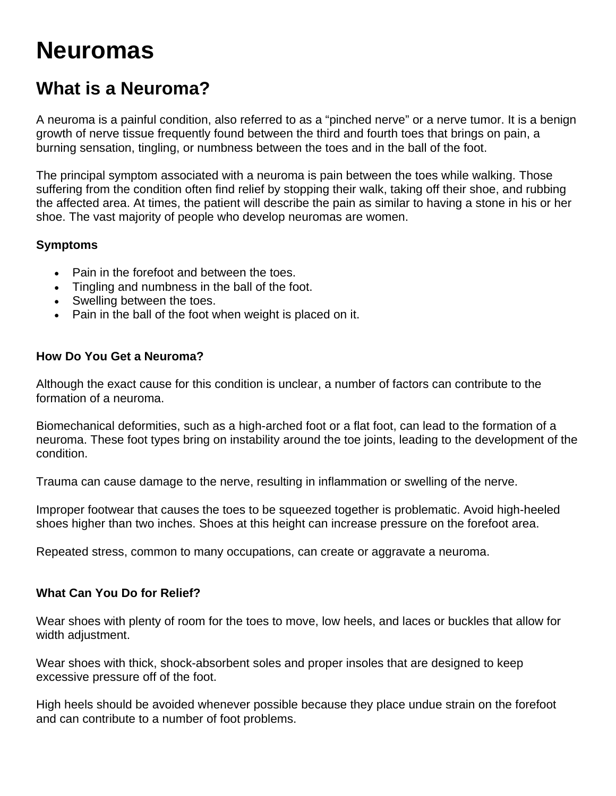# **Neuromas**

## **What is a Neuroma?**

A neuroma is a painful condition, also referred to as a "pinched nerve" or a nerve tumor. It is a benign growth of nerve tissue frequently found between the third and fourth toes that brings on pain, a burning sensation, tingling, or numbness between the toes and in the ball of the foot.

The principal symptom associated with a neuroma is pain between the toes while walking. Those suffering from the condition often find relief by stopping their walk, taking off their shoe, and rubbing the affected area. At times, the patient will describe the pain as similar to having a stone in his or her shoe. The vast majority of people who develop neuromas are women.

#### **Symptoms**

- Pain in the forefoot and between the toes.
- Tingling and numbness in the ball of the foot.
- Swelling between the toes.
- Pain in the ball of the foot when weight is placed on it.

#### **How Do You Get a Neuroma?**

Although the exact cause for this condition is unclear, a number of factors can contribute to the formation of a neuroma.

Biomechanical deformities, such as a high-arched foot or a flat foot, can lead to the formation of a neuroma. These foot types bring on instability around the toe joints, leading to the development of the condition.

Trauma can cause damage to the nerve, resulting in inflammation or swelling of the nerve.

Improper footwear that causes the toes to be squeezed together is problematic. Avoid high-heeled shoes higher than two inches. Shoes at this height can increase pressure on the forefoot area.

Repeated stress, common to many occupations, can create or aggravate a neuroma.

#### **What Can You Do for Relief?**

Wear shoes with plenty of room for the toes to move, low heels, and laces or buckles that allow for width adjustment.

Wear shoes with thick, shock-absorbent soles and proper insoles that are designed to keep excessive pressure off of the foot.

High heels should be avoided whenever possible because they place undue strain on the forefoot and can contribute to a number of foot problems.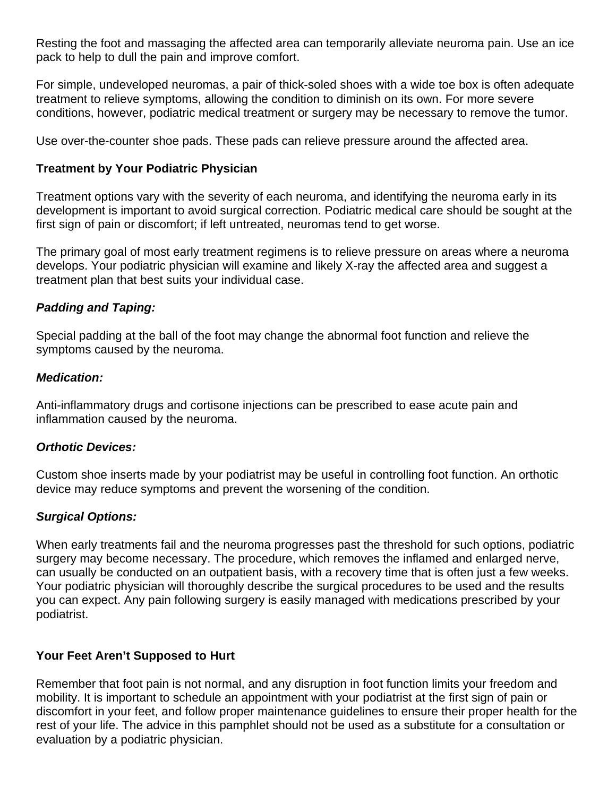Resting the foot and massaging the affected area can temporarily alleviate neuroma pain. Use an ice pack to help to dull the pain and improve comfort.

For simple, undeveloped neuromas, a pair of thick-soled shoes with a wide toe box is often adequate treatment to relieve symptoms, allowing the condition to diminish on its own. For more severe conditions, however, podiatric medical treatment or surgery may be necessary to remove the tumor.

Use over-the-counter shoe pads. These pads can relieve pressure around the affected area.

#### **Treatment by Your Podiatric Physician**

Treatment options vary with the severity of each neuroma, and identifying the neuroma early in its development is important to avoid surgical correction. Podiatric medical care should be sought at the first sign of pain or discomfort; if left untreated, neuromas tend to get worse.

The primary goal of most early treatment regimens is to relieve pressure on areas where a neuroma develops. Your podiatric physician will examine and likely X-ray the affected area and suggest a treatment plan that best suits your individual case.

#### *Padding and Taping:*

Special padding at the ball of the foot may change the abnormal foot function and relieve the symptoms caused by the neuroma.

#### *Medication:*

Anti-inflammatory drugs and cortisone injections can be prescribed to ease acute pain and inflammation caused by the neuroma.

#### *Orthotic Devices:*

Custom shoe inserts made by your podiatrist may be useful in controlling foot function. An orthotic device may reduce symptoms and prevent the worsening of the condition.

#### *Surgical Options:*

When early treatments fail and the neuroma progresses past the threshold for such options, podiatric surgery may become necessary. The procedure, which removes the inflamed and enlarged nerve, can usually be conducted on an outpatient basis, with a recovery time that is often just a few weeks. Your podiatric physician will thoroughly describe the surgical procedures to be used and the results you can expect. Any pain following surgery is easily managed with medications prescribed by your podiatrist.

#### **Your Feet Aren't Supposed to Hurt**

Remember that foot pain is not normal, and any disruption in foot function limits your freedom and mobility. It is important to schedule an appointment with your podiatrist at the first sign of pain or discomfort in your feet, and follow proper maintenance guidelines to ensure their proper health for the rest of your life. The advice in this pamphlet should not be used as a substitute for a consultation or evaluation by a podiatric physician.